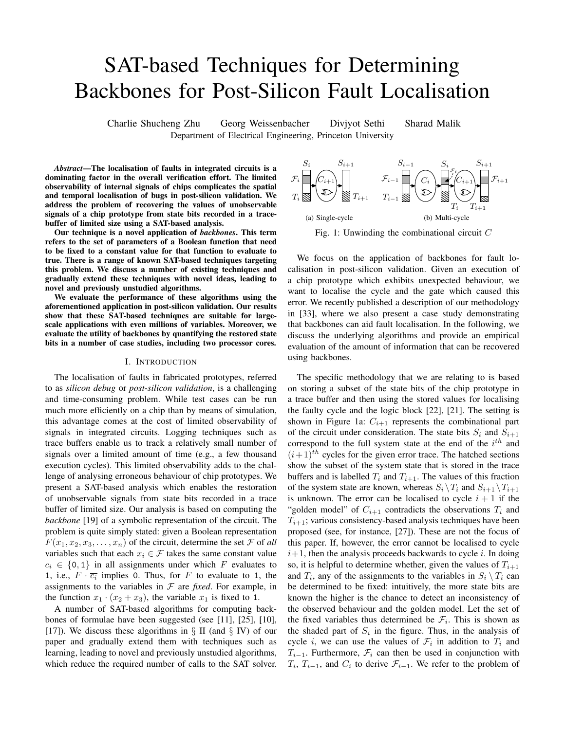# SAT-based Techniques for Determining Backbones for Post-Silicon Fault Localisation

Charlie Shucheng Zhu Georg Weissenbacher Divjyot Sethi Sharad Malik Department of Electrical Engineering, Princeton University

*Abstract*—The localisation of faults in integrated circuits is a dominating factor in the overall verification effort. The limited observability of internal signals of chips complicates the spatial and temporal localisation of bugs in post-silicon validation. We address the problem of recovering the values of unobservable signals of a chip prototype from state bits recorded in a tracebuffer of limited size using a SAT-based analysis.

Our technique is a novel application of *backbones*. This term refers to the set of parameters of a Boolean function that need to be fixed to a constant value for that function to evaluate to true. There is a range of known SAT-based techniques targeting this problem. We discuss a number of existing techniques and gradually extend these techniques with novel ideas, leading to novel and previously unstudied algorithms.

We evaluate the performance of these algorithms using the aforementioned application in post-silicon validation. Our results show that these SAT-based techniques are suitable for largescale applications with even millions of variables. Moreover, we evaluate the utility of backbones by quantifying the restored state bits in a number of case studies, including two processor cores.

#### I. INTRODUCTION

The localisation of faults in fabricated prototypes, referred to as *silicon debug* or *post-silicon validation*, is a challenging and time-consuming problem. While test cases can be run much more efficiently on a chip than by means of simulation, this advantage comes at the cost of limited observability of signals in integrated circuits. Logging techniques such as trace buffers enable us to track a relatively small number of signals over a limited amount of time (e.g., a few thousand execution cycles). This limited observability adds to the challenge of analysing erroneous behaviour of chip prototypes. We present a SAT-based analysis which enables the restoration of unobservable signals from state bits recorded in a trace buffer of limited size. Our analysis is based on computing the *backbone* [19] of a symbolic representation of the circuit. The problem is quite simply stated: given a Boolean representation  $F(x_1, x_2, x_3, \ldots, x_n)$  of the circuit, determine the set  $\mathcal F$  of all variables such that each  $x_i \in \mathcal{F}$  takes the same constant value  $c_i \in \{0, 1\}$  in all assignments under which F evaluates to 1, i.e.,  $F \cdot \overline{c_i}$  implies 0. Thus, for F to evaluate to 1, the assignments to the variables in  $F$  are *fixed*. For example, in the function  $x_1 \cdot (x_2 + x_3)$ , the variable  $x_1$  is fixed to 1.

A number of SAT-based algorithms for computing backbones of formulae have been suggested (see [11], [25], [10], [17]). We discuss these algorithms in  $\S$  II (and  $\S$  IV) of our paper and gradually extend them with techniques such as learning, leading to novel and previously unstudied algorithms, which reduce the required number of calls to the SAT solver.



We focus on the application of backbones for fault localisation in post-silicon validation. Given an execution of a chip prototype which exhibits unexpected behaviour, we want to localise the cycle and the gate which caused this error. We recently published a description of our methodology in [33], where we also present a case study demonstrating that backbones can aid fault localisation. In the following, we discuss the underlying algorithms and provide an empirical evaluation of the amount of information that can be recovered using backbones.

The specific methodology that we are relating to is based on storing a subset of the state bits of the chip prototype in a trace buffer and then using the stored values for localising the faulty cycle and the logic block [22], [21]. The setting is shown in Figure 1a:  $C_{i+1}$  represents the combinational part of the circuit under consideration. The state bits  $S_i$  and  $S_{i+1}$ correspond to the full system state at the end of the  $i<sup>th</sup>$  and  $(i+1)<sup>th</sup>$  cycles for the given error trace. The hatched sections show the subset of the system state that is stored in the trace buffers and is labelled  $T_i$  and  $T_{i+1}$ . The values of this fraction of the system state are known, whereas  $S_i \backslash T_i$  and  $S_{i+1} \backslash T_{i+1}$ is unknown. The error can be localised to cycle  $i + 1$  if the "golden model" of  $C_{i+1}$  contradicts the observations  $T_i$  and  $T_{i+1}$ ; various consistency-based analysis techniques have been proposed (see, for instance, [27]). These are not the focus of this paper. If, however, the error cannot be localised to cycle  $i+1$ , then the analysis proceeds backwards to cycle i. In doing so, it is helpful to determine whether, given the values of  $T_{i+1}$ and  $T_i$ , any of the assignments to the variables in  $S_i \setminus T_i$  can be determined to be fixed: intuitively, the more state bits are known the higher is the chance to detect an inconsistency of the observed behaviour and the golden model. Let the set of the fixed variables thus determined be  $\mathcal{F}_i$ . This is shown as the shaded part of  $S_i$  in the figure. Thus, in the analysis of cycle i, we can use the values of  $\mathcal{F}_i$  in addition to  $T_i$  and  $T_{i-1}$ . Furthermore,  $\mathcal{F}_i$  can then be used in conjunction with  $T_i$ ,  $T_{i-1}$ , and  $C_i$  to derive  $\mathcal{F}_{i-1}$ . We refer to the problem of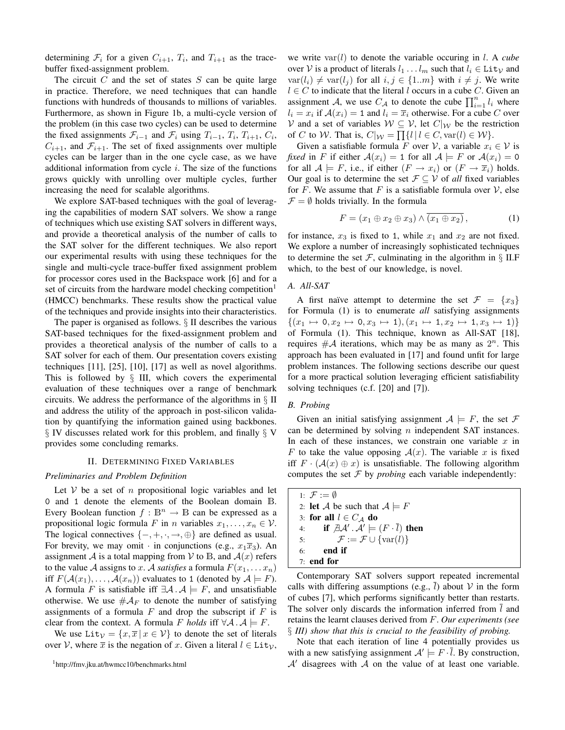determining  $\mathcal{F}_i$  for a given  $C_{i+1}$ ,  $T_i$ , and  $T_{i+1}$  as the tracebuffer fixed-assignment problem.

The circuit  $C$  and the set of states  $S$  can be quite large in practice. Therefore, we need techniques that can handle functions with hundreds of thousands to millions of variables. Furthermore, as shown in Figure 1b, a multi-cycle version of the problem (in this case two cycles) can be used to determine the fixed assignments  $\mathcal{F}_{i-1}$  and  $\mathcal{F}_i$  using  $T_{i-1}$ ,  $T_i$ ,  $T_{i+1}$ ,  $C_i$ ,  $C_{i+1}$ , and  $\mathcal{F}_{i+1}$ . The set of fixed assignments over multiple cycles can be larger than in the one cycle case, as we have additional information from cycle  $i$ . The size of the functions grows quickly with unrolling over multiple cycles, further increasing the need for scalable algorithms.

We explore SAT-based techniques with the goal of leveraging the capabilities of modern SAT solvers. We show a range of techniques which use existing SAT solvers in different ways, and provide a theoretical analysis of the number of calls to the SAT solver for the different techniques. We also report our experimental results with using these techniques for the single and multi-cycle trace-buffer fixed assignment problem for processor cores used in the Backspace work [6] and for a set of circuits from the hardware model checking competition<sup>1</sup> (HMCC) benchmarks. These results show the practical value of the techniques and provide insights into their characteristics.

The paper is organised as follows. § II describes the various SAT-based techniques for the fixed-assignment problem and provides a theoretical analysis of the number of calls to a SAT solver for each of them. Our presentation covers existing techniques [11], [25], [10], [17] as well as novel algorithms. This is followed by  $\S$  III, which covers the experimental evaluation of these techniques over a range of benchmark circuits. We address the performance of the algorithms in § II and address the utility of the approach in post-silicon validation by quantifying the information gained using backbones. § IV discusses related work for this problem, and finally § V provides some concluding remarks.

#### II. DETERMINING FIXED VARIABLES

### *Preliminaries and Problem Definition*

Let  $V$  be a set of n propositional logic variables and let 0 and 1 denote the elements of the Boolean domain B. Every Boolean function  $f : \mathbb{B}^n \to \mathbb{B}$  can be expressed as a propositional logic formula F in n variables  $x_1, \ldots, x_n \in \mathcal{V}$ . The logical connectives  $\{-, +, \cdot, \rightarrow, \oplus\}$  are defined as usual. For brevity, we may omit  $\cdot$  in conjunctions (e.g.,  $x_1\overline{x}_3$ ). An assignment A is a total mapping from V to B, and  $A(x)$  refers to the value A assigns to x. A *satisfies* a formula  $F(x_1, \ldots, x_n)$ iff  $F(A(x_1), \ldots, A(x_n))$  evaluates to 1 (denoted by  $A \models F$ ). A formula F is satisfiable iff  $\exists A \cdot A \models F$ , and unsatisfiable otherwise. We use  $\#\mathcal{A}_F$  to denote the number of satisfying assignments of a formula  $F$  and drop the subscript if  $F$  is clear from the context. A formula F *holds* iff  $\forall A \cdot A \models F$ .

We use Lit $v = \{x, \overline{x} | x \in V\}$  to denote the set of literals over V, where  $\bar{x}$  is the negation of x. Given a literal  $l \in \text{Lit}_\mathcal{V}$ ,

we write var(l) to denote the variable occuring in l. A *cube* over V is a product of literals  $l_1 \ldots l_m$  such that  $l_i \in \text{Lit}_\mathcal{V}$  and  $var(l_i) \neq var(l_j)$  for all  $i, j \in \{1..m\}$  with  $i \neq j$ . We write  $l \in C$  to indicate that the literal l occurs in a cube C. Given an assignment A, we use  $C_A$  to denote the cube  $\prod_{i=1}^n l_i$  where  $l_i = x_i$  if  $\mathcal{A}(x_i) = 1$  and  $l_i = \overline{x}_i$  otherwise. For a cube C over V and a set of variables  $W \subseteq V$ , let  $C|_{W}$  be the restriction of C to W. That is,  $C|_{\mathcal{W}} = \prod \{l | l \in C, \text{var}(l) \in \mathcal{W} \}.$ 

Given a satisfiable formula F over V, a variable  $x_i \in V$  is *fixed* in F if either  $A(x_i) = 1$  for all  $A \models F$  or  $A(x_i) = 0$ for all  $\mathcal{A} \models F$ , i.e., if either  $(F \rightarrow x_i)$  or  $(F \rightarrow \overline{x}_i)$  holds. Our goal is to determine the set  $\mathcal{F} \subseteq \mathcal{V}$  of *all* fixed variables for F. We assume that F is a satisfiable formula over  $\mathcal V$ , else  $\mathcal{F} = \emptyset$  holds trivially. In the formula

$$
F = (x_1 \oplus x_2 \oplus x_3) \wedge (x_1 \oplus x_2), \tag{1}
$$

for instance,  $x_3$  is fixed to 1, while  $x_1$  and  $x_2$  are not fixed. We explore a number of increasingly sophisticated techniques to determine the set  $\mathcal{F}$ , culminating in the algorithm in  $\S$  II.F which, to the best of our knowledge, is novel.

### *A. All-SAT*

A first naïve attempt to determine the set  $\mathcal{F} = \{x_3\}$ for Formula (1) is to enumerate *all* satisfying assignments  $\{(x_1 \mapsto 0, x_2 \mapsto 0, x_3 \mapsto 1), (x_1 \mapsto 1, x_2 \mapsto 1, x_3 \mapsto 1)\}\$ of Formula (1). This technique, known as All-SAT [18], requires  $\#\mathcal{A}$  iterations, which may be as many as  $2^n$ . This approach has been evaluated in [17] and found unfit for large problem instances. The following sections describe our quest for a more practical solution leveraging efficient satisfiability solving techniques (c.f. [20] and [7]).

## *B. Probing*

Given an initial satisfying assignment  $A \models F$ , the set F can be determined by solving  $n$  independent SAT instances. In each of these instances, we constrain one variable  $x$  in F to take the value opposing  $A(x)$ . The variable x is fixed iff  $F \cdot (A(x) \oplus x)$  is unsatisfiable. The following algorithm computes the set  $\mathcal F$  by *probing* each variable independently:

| 1: $\mathcal{F} := \emptyset$                                                           |  |
|-----------------------------------------------------------------------------------------|--|
| 2: <b>let</b> A be such that $A \models F$                                              |  |
| 3: for all $l \in C_A$ do                                                               |  |
| 4: if $\mathcal{A} \mathcal{A}' \cdot \mathcal{A}' \models (F \cdot \overline{l})$ then |  |
| $\mathcal{F} := \mathcal{F} \cup \{ \text{var}(l) \}$<br>5:                             |  |
| end if<br>6 <sup>.</sup>                                                                |  |
| $7·$ end for                                                                            |  |

Contemporary SAT solvers support repeated incremental calls with differing assumptions (e.g.,  $\bar{l}$ ) about  $V$  in the form of cubes [7], which performs significantly better than restarts. The solver only discards the information inferred from  $\overline{l}$  and retains the learnt clauses derived from F. *Our experiments (see* § *III) show that this is crucial to the feasibility of probing.*

Note that each iteration of line 4 potentially provides us with a new satisfying assignment  $\mathcal{A}' \models F \cdot \overline{l}$ . By construction,  $A'$  disagrees with A on the value of at least one variable.

<sup>1</sup>http://fmv.jku.at/hwmcc10/benchmarks.html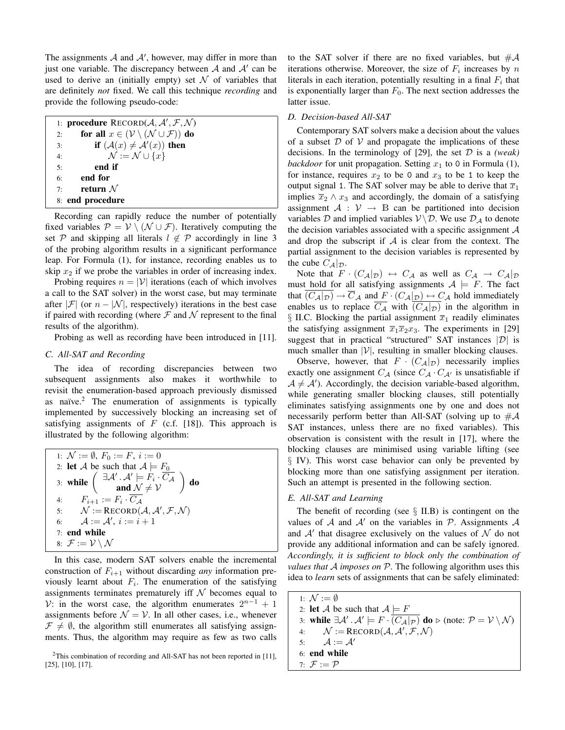The assignments  $A$  and  $A'$ , however, may differ in more than just one variable. The discrepancy between  $A$  and  $A'$  can be used to derive an (initially empty) set  $\mathcal N$  of variables that are definitely *not* fixed. We call this technique *recording* and provide the following pseudo-code:

|    | 1: <b>procedure</b> $RECORD(\mathcal{A}, \mathcal{A}', \mathcal{F}, \mathcal{N})$ |
|----|-----------------------------------------------------------------------------------|
| 2: | for all $x \in (\mathcal{V} \setminus (\mathcal{N} \cup \mathcal{F}))$ do         |
| 3: | <b>if</b> $(\mathcal{A}(x) \neq \mathcal{A}'(x))$ then                            |
| 4: | $\mathcal{N} := \mathcal{N} \cup \{x\}$                                           |
| 5: | end if                                                                            |
| 6: | end for                                                                           |
| 7: | return $\mathcal N$                                                               |
|    | 8: end procedure                                                                  |
|    |                                                                                   |

Recording can rapidly reduce the number of potentially fixed variables  $\mathcal{P} = \mathcal{V} \setminus (\mathcal{N} \cup \mathcal{F})$ . Iteratively computing the set P and skipping all literals  $l \notin \mathcal{P}$  accordingly in line 3 of the probing algorithm results in a significant performance leap. For Formula (1), for instance, recording enables us to skip  $x_2$  if we probe the variables in order of increasing index.

Probing requires  $n = |V|$  iterations (each of which involves a call to the SAT solver) in the worst case, but may terminate after  $|\mathcal{F}|$  (or  $n - |\mathcal{N}|$ , respectively) iterations in the best case if paired with recording (where  $\mathcal F$  and  $\mathcal N$  represent to the final results of the algorithm).

Probing as well as recording have been introduced in [11].

### *C. All-SAT and Recording*

The idea of recording discrepancies between two subsequent assignments also makes it worthwhile to revisit the enumeration-based approach previously dismissed as naïve. $<sup>2</sup>$  The enumeration of assignments is typically</sup> implemented by successively blocking an increasing set of satisfying assignments of  $F$  (c.f. [18]). This approach is illustrated by the following algorithm:

| 1: $\mathcal{N} := \emptyset$ , $F_0 := F$ , $i := 0$                                                                                                                        |
|------------------------------------------------------------------------------------------------------------------------------------------------------------------------------|
| 2: <b>let</b> A be such that $A \models F_0$                                                                                                                                 |
| 3: while $\begin{pmatrix} \exists \mathcal{A}' \cdot \mathcal{A}' \models F_i \cdot \overline{C}_{\mathcal{A}} \\ \text{and } \mathcal{N} \neq \mathcal{V} \end{pmatrix}$ do |
| 4: $F_{i+1} := F_i \cdot \overline{C_A}$                                                                                                                                     |
| 5: $\mathcal{N} := \text{RECORD}(\mathcal{A}, \mathcal{A}', \mathcal{F}, \mathcal{N})$                                                                                       |
| 6: $A := A', i := i + 1$                                                                                                                                                     |
| 7: end while                                                                                                                                                                 |
| 8: $\mathcal{F} := \mathcal{V} \setminus \mathcal{N}$                                                                                                                        |

In this case, modern SAT solvers enable the incremental construction of  $F_{i+1}$  without discarding *any* information previously learnt about  $F_i$ . The enumeration of the satisfying assignments terminates prematurely iff  $N$  becomes equal to V: in the worst case, the algorithm enumerates  $2^{n-1} + 1$ assignments before  $\mathcal{N} = \mathcal{V}$ . In all other cases, i.e., whenever  $\mathcal{F} \neq \emptyset$ , the algorithm still enumerates all satisfying assignments. Thus, the algorithm may require as few as two calls

<sup>2</sup>This combination of recording and All-SAT has not been reported in [11], [25], [10], [17].

to the SAT solver if there are no fixed variables, but  $\#\mathcal{A}$ iterations otherwise. Moreover, the size of  $F_i$  increases by  $n$ literals in each iteration, potentially resulting in a final  $F_i$  that is exponentially larger than  $F_0$ . The next section addresses the latter issue.

## *D. Decision-based All-SAT*

Contemporary SAT solvers make a decision about the values of a subset  $D$  of  $V$  and propagate the implications of these decisions. In the terminology of [29], the set D is a *(weak) backdoor* for unit propagation. Setting  $x_1$  to 0 in Formula (1), for instance, requires  $x_2$  to be 0 and  $x_3$  to be 1 to keep the output signal 1. The SAT solver may be able to derive that  $\overline{x}_1$ implies  $\overline{x}_2 \wedge x_3$  and accordingly, the domain of a satisfying assignment  $A : V \rightarrow \mathbb{B}$  can be partitioned into decision variables D and implied variables  $V \backslash D$ . We use  $\mathcal{D}_A$  to denote the decision variables associated with a specific assignment  $A$ and drop the subscript if  $A$  is clear from the context. The partial assignment to the decision variables is represented by the cube  $C_{\mathcal{A}}|_{\mathcal{D}}$ .

Note that  $F \cdot (C_{\mathcal{A}}|_{\mathcal{D}}) \leftrightarrow C_{\mathcal{A}}$  as well as  $C_{\mathcal{A}} \rightarrow C_{\mathcal{A}}|_{\mathcal{D}}$ must hold for all satisfying assignments  $A \models F$ . The fact that  $\overline{(C_{\mathcal{A}}|_{\mathcal{D}})} \to \overline{C}_{\mathcal{A}}$  and  $\underline{F} \cdot (C_{\mathcal{A}}|_{\mathcal{D}}) \leftrightarrow C_{\mathcal{A}}$  hold immediately enables us to replace  $\overline{C_A}$  with  $\overline{(C_A|_{\mathcal{D}})}$  in the algorithm in § II.C. Blocking the partial assignment  $\overline{x}_1$  readily eliminates the satisfying assignment  $\overline{x}_1\overline{x}_2x_3$ . The experiments in [29] suggest that in practical "structured" SAT instances  $|\mathcal{D}|$  is much smaller than  $|V|$ , resulting in smaller blocking clauses.

Observe, however, that  $F \cdot (C_{\mathcal{A}}|_{\mathcal{D}})$  necessarily implies exactly one assignment  $C_A$  (since  $C_A \cdot C_{A'}$  is unsatisfiable if  $A \neq A'$ ). Accordingly, the decision variable-based algorithm, while generating smaller blocking clauses, still potentially eliminates satisfying assignments one by one and does not necessarily perform better than All-SAT (solving up to  $\#\mathcal{A}$ SAT instances, unless there are no fixed variables). This observation is consistent with the result in [17], where the blocking clauses are minimised using variable lifting (see § IV). This worst case behavior can only be prevented by blocking more than one satisfying assignment per iteration. Such an attempt is presented in the following section.

## *E. All-SAT and Learning*

The benefit of recording (see  $\S$  II.B) is contingent on the values of  $A$  and  $A'$  on the variables in  $P$ . Assignments  $A$ and  $A'$  that disagree exclusively on the values of  $N$  do not provide any additional information and can be safely ignored. *Accordingly, it is sufficient to block only the combination of values that* A *imposes on* P*.* The following algorithm uses this idea to *learn* sets of assignments that can be safely eliminated:

| $1: N := \emptyset$                                                                                                                                |
|----------------------------------------------------------------------------------------------------------------------------------------------------|
| 2: <b>let</b> A be such that $A \models F$                                                                                                         |
| 3: while $\exists A' \cdot A' \models F \cdot (C_A _{\mathcal{P}})$ do $\triangleright$ (note: $\mathcal{P} = \mathcal{V} \setminus \mathcal{N}$ ) |
| 4: $\mathcal{N} := \text{RECORD}(\mathcal{A}, \mathcal{A}', \mathcal{F}, \mathcal{N})$                                                             |
| 5: $\mathcal{A} := \mathcal{A}'$                                                                                                                   |
| 6: end while                                                                                                                                       |
| 7: $\mathcal{F} := \mathcal{P}$                                                                                                                    |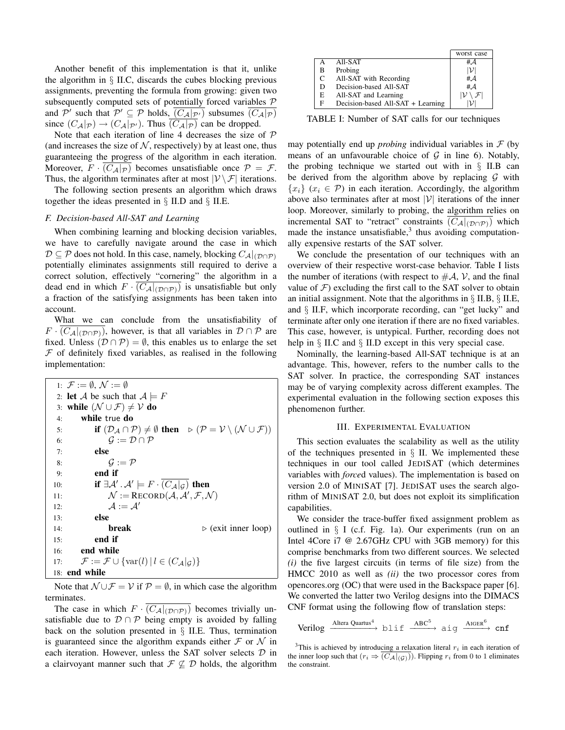Another benefit of this implementation is that it, unlike the algorithm in  $\S$  II.C, discards the cubes blocking previous assignments, preventing the formula from growing: given two subsequently computed sets of potentially forced variables  $P$ and P' such that  $\mathcal{P}' \subseteq \mathcal{P}$  holds,  $\overline{(C_{\mathcal{A}}|_{\mathcal{P}'})}$  subsumes  $\overline{(C_{\mathcal{A}}|_{\mathcal{P}})}$ since  $(C_{\mathcal{A}}|_{\mathcal{P}}) \rightarrow (C_{\mathcal{A}}|_{\mathcal{P}})$ . Thus  $(C_{\mathcal{A}}|_{\mathcal{P}})$  can be dropped.

Note that each iteration of line 4 decreases the size of  $P$ (and increases the size of  $N$ , respectively) by at least one, thus guaranteeing the progress of the algorithm in each iteration. Moreover,  $F \cdot (C_A|_{\mathcal{P}})$  becomes unsatisfiable once  $\mathcal{P} = \mathcal{F}$ . Thus, the algorithm terminates after at most  $|\mathcal{V} \setminus \mathcal{F}|$  iterations.

The following section presents an algorithm which draws together the ideas presented in  $\S$  II.D and  $\S$  II.E.

#### *F. Decision-based All-SAT and Learning*

When combining learning and blocking decision variables, we have to carefully navigate around the case in which  $\mathcal{D} \subseteq \mathcal{P}$  does not hold. In this case, namely, blocking  $C_{\mathcal{A}}|_{(\mathcal{D} \cap \mathcal{P})}$ potentially eliminates assignments still required to derive a correct solution, effectively "cornering" the algorithm in a dead end in which  $F \cdot (C_{\mathcal{A}}|_{(\mathcal{D} \cap \mathcal{P})})$  is unsatisfiable but only a fraction of the satisfying assignments has been taken into account.

What we can conclude from the unsatisfiability of  $F \cdot (C_{\mathcal{A}}|_{(\mathcal{D} \cap \mathcal{P})})$ , however, is that all variables in  $\mathcal{D} \cap \mathcal{P}$  are fixed. Unless  $(D \cap P) = \emptyset$ , this enables us to enlarge the set  $F$  of definitely fixed variables, as realised in the following implementation:

1:  $\mathcal{F} := \emptyset$ ,  $\mathcal{N} := \emptyset$ 2: **let** A be such that  $A \models F$ 3: while  $(\mathcal{N} \cup \mathcal{F}) \neq \mathcal{V}$  do 4: while true do 5: **if**  $(D_A \cap P) \neq \emptyset$  then  $\triangleright (\mathcal{P} = \mathcal{V} \setminus (\mathcal{N} \cup \mathcal{F}))$ 6:  $G := \mathcal{D} \cap \mathcal{P}$ 7: else 8:  $\mathcal{G} := \mathcal{P}$ 9: end if 10: **if**  $\exists A' \cdot A' \models F \cdot \overline{(C_{\mathcal{A}}|_{\mathcal{G}})}$  then 11:  $\mathcal{N} := \text{RECORD}(\mathcal{A}, \mathcal{A}', \mathcal{F}, \mathcal{N})$ 12:  $\mathcal{A} := \mathcal{A}'$ 13: else 14: **break**  $\triangleright$  (exit inner loop) 15: end if 16: end while 17:  $\mathcal{F} := \mathcal{F} \cup \{ \text{var}(l) | l \in (C_{\mathcal{A}}|_{\mathcal{G}}) \}$ 18: end while

Note that  $\mathcal{N} \cup \mathcal{F} = \mathcal{V}$  if  $\mathcal{P} = \emptyset$ , in which case the algorithm terminates.

The case in which  $F \cdot \overline{(C_{\mathcal{A}}|_{(\mathcal{D} \cap \mathcal{P})})}$  becomes trivially unsatisfiable due to  $\mathcal{D} \cap \mathcal{P}$  being empty is avoided by falling back on the solution presented in  $\S$  II.E. Thus, termination is guaranteed since the algorithm expands either  $\mathcal F$  or  $\mathcal N$  in each iteration. However, unless the SAT solver selects  $D$  in a clairvoyant manner such that  $\mathcal{F} \not\subseteq \mathcal{D}$  holds, the algorithm

|   |                                   | worst case |
|---|-----------------------------------|------------|
|   | All-SAT                           | #A         |
| в | Probing                           |            |
| C | All-SAT with Recording            | #A         |
| D | Decision-based All-SAT            | #A         |
| E | All-SAT and Learning              |            |
| F | Decision-based All-SAT + Learning |            |

TABLE I: Number of SAT calls for our techniques

may potentially end up *probing* individual variables in  $F$  (by means of an unfavourable choice of  $G$  in line 6). Notably, the probing technique we started out with in  $\S$  II.B can be derived from the algorithm above by replacing  $G$  with  ${x_i} (x_i \in \mathcal{P})$  in each iteration. Accordingly, the algorithm above also terminates after at most  $|V|$  iterations of the inner loop. Moreover, similarly to probing, the algorithm relies on incremental SAT to "retract" constraints  $(C_A|_{(\mathcal{D} \cap \mathcal{P})})$  which made the instance unsatisfiable, $3$  thus avoiding computationally expensive restarts of the SAT solver.

We conclude the presentation of our techniques with an overview of their respective worst-case behavior. Table I lists the number of iterations (with respect to  $\#\mathcal{A}, \mathcal{V}$ , and the final value of  $\mathcal F$ ) excluding the first call to the SAT solver to obtain an initial assignment. Note that the algorithms in  $\S$  II.B,  $\S$  II.E, and § II.F, which incorporate recording, can "get lucky" and terminate after only one iteration if there are no fixed variables. This case, however, is untypical. Further, recording does not help in § II.C and § II.D except in this very special case.

Nominally, the learning-based All-SAT technique is at an advantage. This, however, refers to the number calls to the SAT solver. In practice, the corresponding SAT instances may be of varying complexity across different examples. The experimental evaluation in the following section exposes this phenomenon further.

#### III. EXPERIMENTAL EVALUATION

This section evaluates the scalability as well as the utility of the techniques presented in  $\S$  II. We implemented these techniques in our tool called JEDISAT (which determines variables with *force*d values). The implementation is based on version 2.0 of MINISAT [7]. JEDISAT uses the search algorithm of MINISAT 2.0, but does not exploit its simplification capabilities.

We consider the trace-buffer fixed assignment problem as outlined in  $\S$  I (c.f. Fig. 1a). Our experiments (run on an Intel 4Core i7 @ 2.67GHz CPU with 3GB memory) for this comprise benchmarks from two different sources. We selected *(i)* the five largest circuits (in terms of file size) from the HMCC 2010 as well as *(ii)* the two processor cores from opencores.org (OC) that were used in the Backspace paper [6]. We converted the latter two Verilog designs into the DIMACS CNF format using the following flow of translation steps:

 $\text{Verilog} \xrightarrow{\text{Altera Quartus}^4} \text{blif} \xrightarrow{\text{ABC}^5} \text{aig} \xrightarrow{\text{AlGER}^6} \text{cnf}$ 

<sup>&</sup>lt;sup>3</sup>This is achieved by introducing a relaxation literal  $r_i$  in each iteration of the inner loop such that  $(r_i \Rightarrow (C_{\mathcal{A}}|_{(\mathcal{G})}))$ . Flipping  $r_i$  from 0 to 1 eliminates the constraint.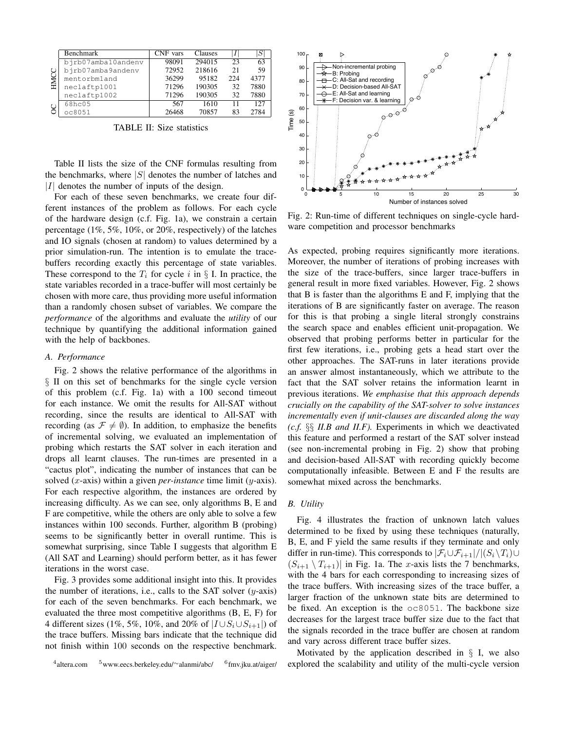|           | Benchmark          | CNF vars | Clauses |     |      |
|-----------|--------------------|----------|---------|-----|------|
| HMCC<br>O | birb07amba10andenv | 98091    | 294015  | 23  | 63   |
|           | bjrb07amba9andenv  | 72952    | 218616  | 21  | 59   |
|           | mentorbmland       | 36299    | 95182   | 224 | 4377 |
|           | neclaftp1001       | 71296    | 190305  | 32  | 7880 |
|           | neclaftp1002       | 71296    | 190305  | 32  | 7880 |
|           | 68hc05             | 567      | 1610    |     | 127  |
|           | oc8051             | 26468    | 70857   | 83  | 2784 |

TABLE II: Size statistics

Table II lists the size of the CNF formulas resulting from the benchmarks, where  $|S|$  denotes the number of latches and  $|I|$  denotes the number of inputs of the design.

For each of these seven benchmarks, we create four different instances of the problem as follows. For each cycle of the hardware design (c.f. Fig. 1a), we constrain a certain percentage (1%, 5%, 10%, or 20%, respectively) of the latches and IO signals (chosen at random) to values determined by a prior simulation-run. The intention is to emulate the tracebuffers recording exactly this percentage of state variables. These correspond to the  $T_i$  for cycle i in § I. In practice, the state variables recorded in a trace-buffer will most certainly be chosen with more care, thus providing more useful information than a randomly chosen subset of variables. We compare the *performance* of the algorithms and evaluate the *utility* of our technique by quantifying the additional information gained with the help of backbones.

#### *A. Performance*

Fig. 2 shows the relative performance of the algorithms in § II on this set of benchmarks for the single cycle version of this problem (c.f. Fig. 1a) with a 100 second timeout for each instance. We omit the results for All-SAT without recording, since the results are identical to All-SAT with recording (as  $\mathcal{F} \neq \emptyset$ ). In addition, to emphasize the benefits of incremental solving, we evaluated an implementation of probing which restarts the SAT solver in each iteration and drops all learnt clauses. The run-times are presented in a "cactus plot", indicating the number of instances that can be solved (x-axis) within a given *per-instance* time limit (y-axis). For each respective algorithm, the instances are ordered by increasing difficulty. As we can see, only algorithms B, E and F are competitive, while the others are only able to solve a few instances within 100 seconds. Further, algorithm B (probing) seems to be significantly better in overall runtime. This is somewhat surprising, since Table I suggests that algorithm E (All SAT and Learning) should perform better, as it has fewer iterations in the worst case.

Fig. 3 provides some additional insight into this. It provides the number of iterations, i.e., calls to the SAT solver  $(y\text{-axis})$ for each of the seven benchmarks. For each benchmark, we evaluated the three most competitive algorithms (B, E, F) for 4 different sizes (1%, 5%, 10%, and 20% of  $|I \cup S_i \cup S_{i+1}|$ ) of the trace buffers. Missing bars indicate that the technique did not finish within 100 seconds on the respective benchmark.





Fig. 2: Run-time of different techniques on single-cycle hardware competition and processor benchmarks

As expected, probing requires significantly more iterations. Moreover, the number of iterations of probing increases with the size of the trace-buffers, since larger trace-buffers in general result in more fixed variables. However, Fig. 2 shows that B is faster than the algorithms E and F, implying that the iterations of B are significantly faster on average. The reason for this is that probing a single literal strongly constrains the search space and enables efficient unit-propagation. We observed that probing performs better in particular for the first few iterations, i.e., probing gets a head start over the other approaches. The SAT-runs in later iterations provide an answer almost instantaneously, which we attribute to the fact that the SAT solver retains the information learnt in previous iterations. *We emphasise that this approach depends crucially on the capability of the SAT-solver to solve instances incrementally even if unit-clauses are discarded along the way (c.f.* §§ *II.B and II.F).* Experiments in which we deactivated this feature and performed a restart of the SAT solver instead (see non-incremental probing in Fig. 2) show that probing and decision-based All-SAT with recording quickly become computationally infeasible. Between E and F the results are somewhat mixed across the benchmarks.

#### *B. Utility*

Fig. 4 illustrates the fraction of unknown latch values determined to be fixed by using these techniques (naturally, B, E, and F yield the same results if they terminate and only differ in run-time). This corresponds to  $|\mathcal{F}_i \cup \mathcal{F}_{i+1}|/|(S_i \setminus T_i) \cup$  $(S_{i+1} \setminus T_{i+1})$  in Fig. 1a. The x-axis lists the 7 benchmarks, with the 4 bars for each corresponding to increasing sizes of the trace buffers. With increasing sizes of the trace buffer, a larger fraction of the unknown state bits are determined to be fixed. An exception is the oc8051. The backbone size decreases for the largest trace buffer size due to the fact that the signals recorded in the trace buffer are chosen at random and vary across different trace buffer sizes.

Motivated by the application described in  $\S$  I, we also explored the scalability and utility of the multi-cycle version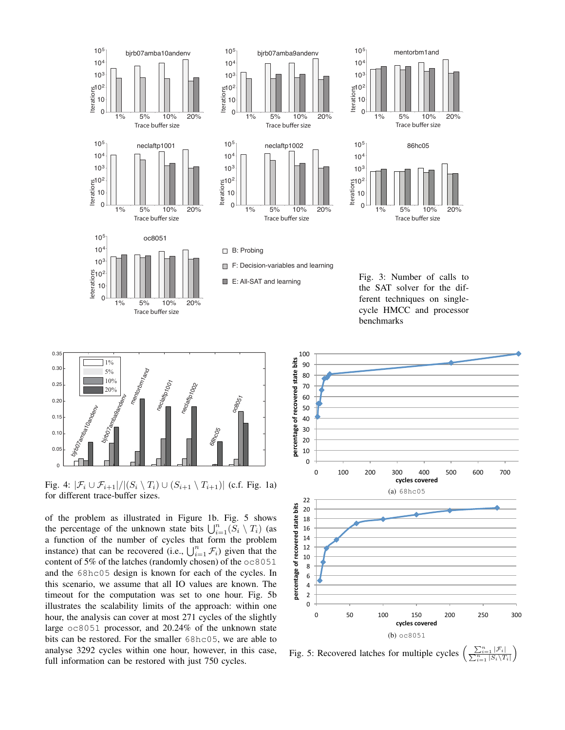



Fig. 4:  $|\mathcal{F}_i \cup \mathcal{F}_{i+1}|/|(S_i \setminus T_i) \cup (S_{i+1} \setminus T_{i+1})|$  (c.f. Fig. 1a) for different trace-buffer sizes.

of the problem as illustrated in Figure 1b. Fig. 5 shows the percentage of the unknown state bits  $\bigcup_{i=1}^n (S_i \setminus T_i)$  (as a function of the number of cycles that form the problem instance) that can be recovered (i.e.,  $\bigcup_{i=1}^n \mathcal{F}_i$ ) given that the content of 5% of the latches (randomly chosen) of the oc8051 and the 68hc05 design is known for each of the cycles. In this scenario, we assume that all IO values are known. The timeout for the computation was set to one hour. Fig. 5b illustrates the scalability limits of the approach: within one hour, the analysis can cover at most 271 cycles of the slightly large oc8051 processor, and 20.24% of the unknown state bits can be restored. For the smaller 68hc05, we are able to analyse 3292 cycles within one hour, however, in this case, full information can be restored with just 750 cycles.



Fig. 5: Recovered latches for multiple cycles  $\frac{\sum_{i=1}^n|\mathcal{F}_i|}{\sum_{i=1}^n|S_i\backslash T_i|}$  $\setminus$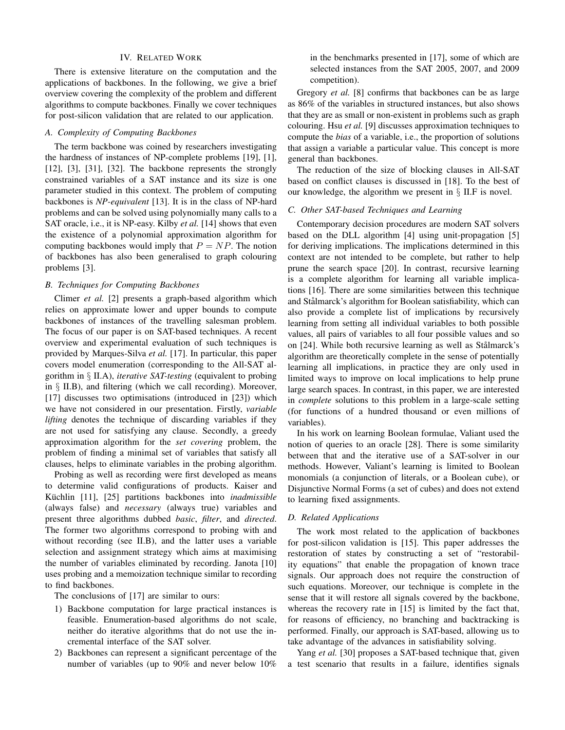#### IV. RELATED WORK

There is extensive literature on the computation and the applications of backbones. In the following, we give a brief overview covering the complexity of the problem and different algorithms to compute backbones. Finally we cover techniques for post-silicon validation that are related to our application.

## *A. Complexity of Computing Backbones*

The term backbone was coined by researchers investigating the hardness of instances of NP-complete problems [19], [1], [12], [3], [31], [32]. The backbone represents the strongly constrained variables of a SAT instance and its size is one parameter studied in this context. The problem of computing backbones is *NP-equivalent* [13]. It is in the class of NP-hard problems and can be solved using polynomially many calls to a SAT oracle, i.e., it is NP-easy. Kilby *et al.* [14] shows that even the existence of a polynomial approximation algorithm for computing backbones would imply that  $P = NP$ . The notion of backbones has also been generalised to graph colouring problems [3].

## *B. Techniques for Computing Backbones*

Climer *et al.* [2] presents a graph-based algorithm which relies on approximate lower and upper bounds to compute backbones of instances of the travelling salesman problem. The focus of our paper is on SAT-based techniques. A recent overview and experimental evaluation of such techniques is provided by Marques-Silva *et al.* [17]. In particular, this paper covers model enumeration (corresponding to the All-SAT algorithm in § II.A), *iterative SAT-testing* (equivalent to probing in § II.B), and filtering (which we call recording). Moreover, [17] discusses two optimisations (introduced in [23]) which we have not considered in our presentation. Firstly, *variable lifting* denotes the technique of discarding variables if they are not used for satisfying any clause. Secondly, a greedy approximation algorithm for the *set covering* problem, the problem of finding a minimal set of variables that satisfy all clauses, helps to eliminate variables in the probing algorithm.

Probing as well as recording were first developed as means to determine valid configurations of products. Kaiser and Küchlin [11], [25] partitions backbones into *inadmissible* (always false) and *necessary* (always true) variables and present three algorithms dubbed *basic*, *filter*, and *directed*. The former two algorithms correspond to probing with and without recording (see II.B), and the latter uses a variable selection and assignment strategy which aims at maximising the number of variables eliminated by recording. Janota [10] uses probing and a memoization technique similar to recording to find backbones.

The conclusions of [17] are similar to ours:

- 1) Backbone computation for large practical instances is feasible. Enumeration-based algorithms do not scale, neither do iterative algorithms that do not use the incremental interface of the SAT solver.
- 2) Backbones can represent a significant percentage of the number of variables (up to 90% and never below 10%

in the benchmarks presented in [17], some of which are selected instances from the SAT 2005, 2007, and 2009 competition).

Gregory *et al.* [8] confirms that backbones can be as large as 86% of the variables in structured instances, but also shows that they are as small or non-existent in problems such as graph colouring. Hsu *et al.* [9] discusses approximation techniques to compute the *bias* of a variable, i.e., the proportion of solutions that assign a variable a particular value. This concept is more general than backbones.

The reduction of the size of blocking clauses in All-SAT based on conflict clauses is discussed in [18]. To the best of our knowledge, the algorithm we present in § II.F is novel.

## *C. Other SAT-based Techniques and Learning*

Contemporary decision procedures are modern SAT solvers based on the DLL algorithm [4] using unit-propagation [5] for deriving implications. The implications determined in this context are not intended to be complete, but rather to help prune the search space [20]. In contrast, recursive learning is a complete algorithm for learning all variable implications [16]. There are some similarities between this technique and Stålmarck's algorithm for Boolean satisfiability, which can also provide a complete list of implications by recursively learning from setting all individual variables to both possible values, all pairs of variables to all four possible values and so on [24]. While both recursive learning as well as Stålmarck's algorithm are theoretically complete in the sense of potentially learning all implications, in practice they are only used in limited ways to improve on local implications to help prune large search spaces. In contrast, in this paper, we are interested in *complete* solutions to this problem in a large-scale setting (for functions of a hundred thousand or even millions of variables).

In his work on learning Boolean formulae, Valiant used the notion of queries to an oracle [28]. There is some similarity between that and the iterative use of a SAT-solver in our methods. However, Valiant's learning is limited to Boolean monomials (a conjunction of literals, or a Boolean cube), or Disjunctive Normal Forms (a set of cubes) and does not extend to learning fixed assignments.

#### *D. Related Applications*

The work most related to the application of backbones for post-silicon validation is [15]. This paper addresses the restoration of states by constructing a set of "restorability equations" that enable the propagation of known trace signals. Our approach does not require the construction of such equations. Moreover, our technique is complete in the sense that it will restore all signals covered by the backbone, whereas the recovery rate in [15] is limited by the fact that, for reasons of efficiency, no branching and backtracking is performed. Finally, our approach is SAT-based, allowing us to take advantage of the advances in satisfiability solving.

Yang *et al.* [30] proposes a SAT-based technique that, given a test scenario that results in a failure, identifies signals